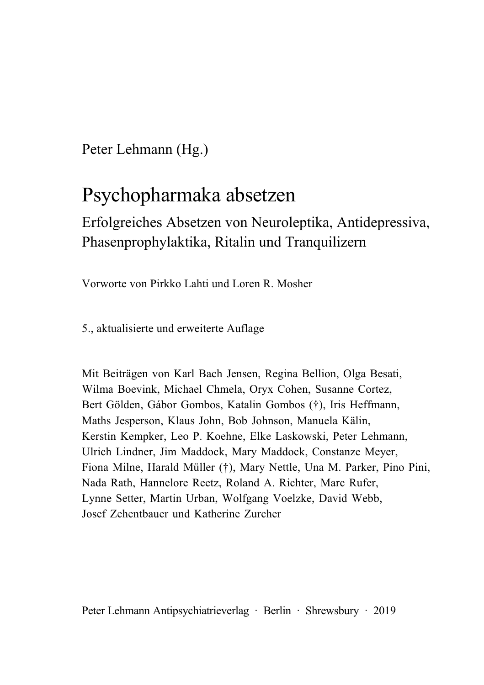Peter Lehmann (Hg.)

# Psychopharmaka absetzen

Erfolgreiches Absetzen von Neuroleptika, Antidepressiva, Phasenprophylaktika, Ritalin und Tranquilizern

Vorworte von Pirkko Lahti und Loren R. Mosher

5., aktualisierte und erweiterte Auflage

Mit Beiträgen von Karl Bach Jensen, Regina Bellion, Olga Besati, Wilma Boevink, Michael Chmela, Oryx Cohen, Susanne Cortez, Bert Gölden, Gábor Gombos, Katalin Gombos (†), Iris Heffmann, Maths Jesperson, Klaus John, Bob Johnson, Manuela Kälin, Kerstin Kempker, Leo P. Koehne, Elke Laskowski, Peter Lehmann, Ulrich Lindner, Jim Maddock, Mary Maddock, Constanze Meyer, Fiona Milne, Harald Müller (†), Mary Nettle, Una M. Parker, Pino Pini, Nada Rath, Hannelore Reetz, Roland A. Richter, Marc Rufer, Lynne Setter, Martin Urban, Wolfgang Voelzke, David Webb, Josef Zehentbauer und Katherine Zurcher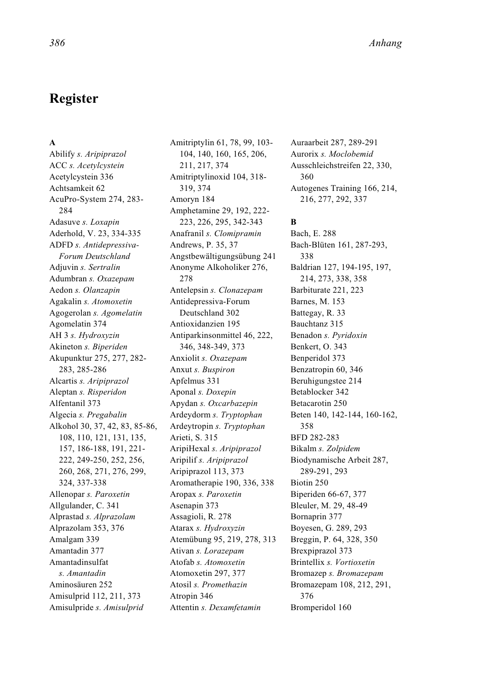# **Register**

#### **A**

Abilify *s. Aripiprazol* ACC *s. Acetylcystein* Acetylcystein 336 Achtsamkeit 62 AcuPro-System 274, 283- 284 Adasuve *s. Loxapin* Aderhold, V. 23, 334-335 ADFD *s. Antidepressiva-Forum Deutschland* Adjuvin *s. Sertralin* Adumbran *s. Oxazepam* Aedon *s. Olanzapin* Agakalin *s. Atomoxetin* Agogerolan *s. Agomelatin* Agomelatin 374 AH 3 *s. Hydroxyzin* Akineton *s. Biperiden* Akupunktur 275, 277, 282- 283, 285-286 Alcartis *s. Aripiprazol* Aleptan *s. Risperidon* Alfentanil 373 Algecia *s. Pregabalin* Alkohol 30, 37, 42, 83, 85-86, 108, 110, 121, 131, 135, 157, 186-188, 191, 221- 222, 249-250, 252, 256, 260, 268, 271, 276, 299, 324, 337-338 Allenopar *s. Paroxetin* Allgulander, C. 341 Alprastad *s. Alprazolam* Alprazolam 353, 376 Amalgam 339 Amantadin 377 Amantadinsulfat *s. Amantadin* Aminosäuren 252 Amisulprid 112, 211, 373 Amisulpride *s. Amisulprid*

Amitriptylin 61, 78, 99, 103- 104, 140, 160, 165, 206, 211, 217, 374 Amitriptylinoxid 104, 318- 319, 374 Amoryn 184 Amphetamine 29, 192, 222- 223, 226, 295, 342-343 Anafranil *s. Clomipramin* Andrews, P. 35, 37 Angstbewältigungsübung 241 Anonyme Alkoholiker 276, 278 Antelepsin *s. Clonazepam* Antidepressiva-Forum Deutschland 302 Antioxidanzien 195 Antiparkinsonmittel 46, 222, 346, 348-349, 373 Anxiolit *s. Oxazepam* Anxut *s. Buspiron* Apfelmus 331 Aponal *s. Doxepin* Apydan *s. Oxcarbazepin* Ardeydorm *s. Tryptophan* Ardeytropin *s. Tryptophan* Arieti, S. 315 AripiHexal *s. Aripiprazol* Aripilif *s. Aripiprazol* Aripiprazol 113, 373 Aromatherapie 190, 336, 338 Aropax *s. Paroxetin* Asenapin 373 Assagioli, R. 278 Atarax *s. Hydroxyzin* Atemübung 95, 219, 278, 313 Ativan *s. Lorazepam* Atofab *s. Atomoxetin* Atomoxetin 297, 377 Atosil *s. Promethazin* Atropin 346 Attentin *s. Dexamfetamin*

Auraarbeit 287, 289-291 Aurorix *s. Moclobemid* Ausschleichstreifen 22, 330, 360 Autogenes Training 166, 214, 216, 277, 292, 337

#### **B**

Bach, E. 288 Bach-Blüten 161, 287-293, 338 Baldrian 127, 194-195, 197, 214, 273, 338, 358 Barbiturate 221, 223 Barnes, M. 153 Battegay, R. 33 Bauchtanz 315 Benadon *s. Pyridoxin* Benkert, O. 343 Benperidol 373 Benzatropin 60, 346 Beruhigungstee 214 Betablocker 342 Betacarotin 250 Beten 140, 142-144, 160-162, 358 BFD 282-283 Bikalm *s. Zolpidem* Biodynamische Arbeit 287, 289-291, 293 Biotin 250 Biperiden 66-67, 377 Bleuler, M. 29, 48-49 Bornaprin 377 Boyesen, G. 289, 293 Breggin, P. 64, 328, 350 Brexpiprazol 373 Brintellix *s. Vortioxetin* Bromazep *s. Bromazepam* Bromazepam 108, 212, 291, 376 Bromperidol 160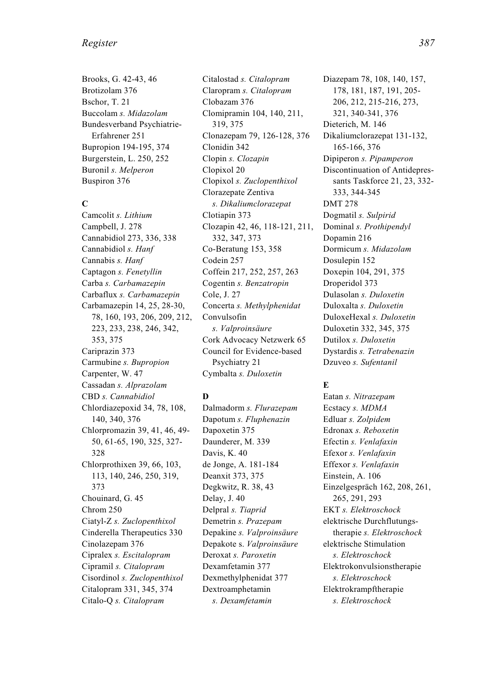#### *Register 387*

Brooks, G. 42-43, 46 Brotizolam 376 Bschor, T. 21 Buccolam *s. Midazolam* Bundesverband Psychiatrie-Erfahrener 251 Bupropion 194-195, 374 Burgerstein, L. 250, 252 Buronil *s. Melperon* Buspiron 376

#### **C**

Camcolit *s. Lithium* Campbell, J. 278 Cannabidiol 273, 336, 338 Cannabidiol *s. Hanf* Cannabis *s. Hanf* Captagon *s. Fenetyllin* Carba *s. Carbamazepin* Carbaflux *s. Carbamazepin* Carbamazepin 14, 25, 28-30, 78, 160, 193, 206, 209, 212, 223, 233, 238, 246, 342, 353, 375 Cariprazin 373 Carmubine *s. Bupropion* Carpenter, W. 47 Cassadan *s. Alprazolam* CBD *s. Cannabidiol* Chlordiazepoxid 34, 78, 108, 140, 340, 376 Chlorpromazin 39, 41, 46, 49- 50, 61-65, 190, 325, 327- 328 Chlorprothixen 39, 66, 103, 113, 140, 246, 250, 319, 373 Chouinard, G. 45 Chrom 250 Ciatyl-Z *s. Zuclopenthixol* Cinderella Therapeutics 330 Cinolazepam 376 Cipralex *s. Escitalopram* Cipramil *s. Citalopram* Cisordinol *s. Zuclopenthixol* Citalopram 331, 345, 374 Citalo-Q *s. Citalopram*

Citalostad *s. Citalopram* Claropram *s. Citalopram* Clobazam 376 Clomipramin 104, 140, 211, 319, 375 Clonazepam 79, 126-128, 376 Clonidin 342 Clopin *s. Clozapin* Clopixol 20 Clopixol *s. Zuclopenthixol* Clorazepate Zentiva *s. Dikaliumclorazepat* Clotiapin 373 Clozapin 42, 46, 118-121, 211, 332, 347, 373 Co-Beratung 153, 358 Codein 257 Coffein 217, 252, 257, 263 Cogentin *s. Benzatropin* Cole, J. 27 Concerta *s. Methylphenidat* Convulsofin *s. Valproinsäure* Cork Advocacy Netzwerk 65 Council for Evidence-based Psychiatry 21 Cymbalta *s. Duloxetin*

#### **D**

Dalmadorm *s. Flurazepam* Dapotum *s. Fluphenazin* Dapoxetin 375 Daunderer, M. 339 Davis, K. 40 de Jonge, A. 181-184 Deanxit 373, 375 Degkwitz, R. 38, 43 Delay, J. 40 Delpral *s. Tiaprid* Demetrin *s. Prazepam* Depakine *s. Valproinsäure* Depakote s. *Valproinsäure* Deroxat *s. Paroxetin* Dexamfetamin 377 Dexmethylphenidat 377 Dextroamphetamin *s. Dexamfetamin*

Diazepam 78, 108, 140, 157, 178, 181, 187, 191, 205- 206, 212, 215-216, 273, 321, 340-341, 376 Dieterich, M. 146 Dikaliumclorazepat 131-132, 165-166, 376 Dipiperon *s. Pipamperon* Discontinuation of Antidepressants Taskforce 21, 23, 332- 333, 344-345 DMT 278 Dogmatil *s. Sulpirid* Dominal *s. Prothipendyl* Dopamin 216 Dormicum *s. Midazolam* Dosulepin 152 Doxepin 104, 291, 375 Droperidol 373 Dulasolan *s. Duloxetin* Duloxalta *s. Duloxetin* DuloxeHexal *s. Duloxetin* Duloxetin 332, 345, 375 Dutilox *s. Duloxetin* Dystardis *s. Tetrabenazin* Dzuveo *s. Sufentanil*

# **E**

Eatan *s. Nitrazepam* Ecstacy *s. MDMA* Edluar *s. Zolpidem* Edronax *s. Reboxetin* Efectin *s. Venlafaxin* Efexor *s. Venlafaxin* Effexor *s. Venlafaxin* Einstein, A. 106 Einzelgespräch 162, 208, 261, 265, 291, 293 EKT *s. Elektroschock* elektrische Durchflutungstherapie *s. Elektroschock* elektrische Stimulation *s. Elektroschock* Elektrokonvulsionstherapie *s. Elektroschock* Elektrokrampftherapie *s. Elektroschock*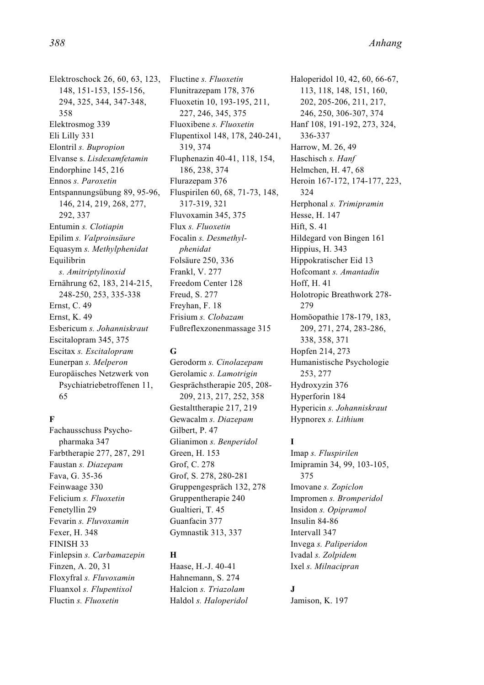Elektroschock 26, 60, 63, 123, 148, 151-153, 155-156, 294, 325, 344, 347-348, 358 Elektrosmog 339 Eli Lilly 331 Elontril *s. Bupropion* Elvanse s. *Lisdexamfetamin* Endorphine 145, 216 Ennos *s. Paroxetin* Entspannungsübung 89, 95-96, 146, 214, 219, 268, 277, 292, 337 Entumin *s. Clotiapin* Epilim *s. Valproinsäure* Equasym *s. Methylphenidat* Equilibrin *s. Amitriptylinoxid* Ernährung 62, 183, 214-215, 248-250, 253, 335-338 Ernst, C. 49 Ernst, K. 49 Esbericum *s. Johanniskraut* Escitalopram 345, 375 Escitax *s. Escitalopram* Eunerpan *s. Melperon* Europäisches Netzwerk von Psychiatriebetroffenen 11, 65

#### **F**

Fachausschuss Psychopharmaka 347 Farbtherapie 277, 287, 291 Faustan *s. Diazepam* Fava, G. 35-36 Feinwaage 330 Felicium *s. Fluoxetin* Fenetyllin 29 Fevarin *s. Fluvoxamin* Fexer, H. 348 FINISH 33 Finlepsin *s. Carbamazepin* Finzen, A. 20, 31 Floxyfral *s. Fluvoxamin* Fluanxol *s. Flupentixol* Fluctin *s. Fluoxetin*

Fluctine *s. Fluoxetin* Flunitrazepam 178, 376 Fluoxetin 10, 193-195, 211, 227, 246, 345, 375 Fluoxibene *s. Fluoxetin* Flupentixol 148, 178, 240-241, 319, 374 Fluphenazin 40-41, 118, 154, 186, 238, 374 Flurazepam 376 Fluspirilen 60, 68, 71-73, 148, 317-319, 321 Fluvoxamin 345, 375 Flux *s. Fluoxetin* Focalin *s. Desmethylphenidat* Folsäure 250, 336 Frankl, V. 277 Freedom Center 128 Freud, S. 277 Freyhan, F. 18 Frisium *s. Clobazam* Fußreflexzonenmassage 315

#### **G**

Gerodorm *s. Cinolazepam* Gerolamic *s. Lamotrigin* Gesprächstherapie 205, 208- 209, 213, 217, 252, 358 Gestalttherapie 217, 219 Gewacalm *s. Diazepam* Gilbert, P. 47 Glianimon *s. Benperidol* Green, H. 153 Grof, C. 278 Grof, S. 278, 280-281 Gruppengespräch 132, 278 Gruppentherapie 240 Gualtieri, T. 45 Guanfacin 377 Gymnastik 313, 337

#### **H**

Haase, H.-J. 40-41 Hahnemann, S. 274 Halcion *s. Triazolam* Haldol *s. Haloperidol* Haloperidol 10, 42, 60, 66-67, 113, 118, 148, 151, 160, 202, 205-206, 211, 217, 246, 250, 306-307, 374 Hanf 108, 191-192, 273, 324, 336-337 Harrow, M. 26, 49 Haschisch *s. Hanf* Helmchen, H. 47, 68 Heroin 167-172, 174-177, 223, 324 Herphonal *s. Trimipramin* Hesse, H. 147 Hift<sub>S</sub> 41 Hildegard von Bingen 161 Hippius, H. 343 Hippokratischer Eid 13 Hofcomant *s. Amantadin* Hoff, H. 41 Holotropic Breathwork 278- 279 Homöopathie 178-179, 183, 209, 271, 274, 283-286, 338, 358, 371 Hopfen 214, 273 Humanistische Psychologie 253, 277 Hydroxyzin 376 Hyperforin 184 Hypericin *s. Johanniskraut* Hypnorex *s. Lithium*

#### **I**

Imap *s. Fluspirilen* Imipramin 34, 99, 103-105, 375 Imovane *s. Zopiclon* Impromen *s. Bromperidol* Insidon *s. Opipramol* Insulin 84-86 Intervall 347 Invega *s. Paliperidon* Ivadal *s. Zolpidem* Ixel *s. Milnacipran*

#### **J**

Jamison, K. 197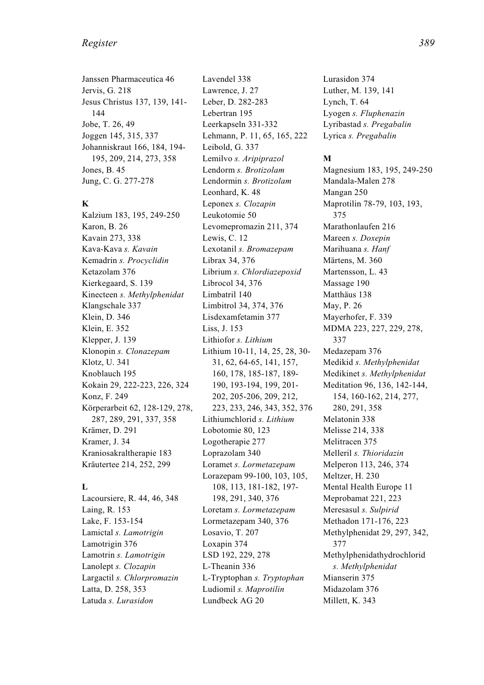#### *Register 389*

Janssen Pharmaceutica 46 Jervis, G. 218 Jesus Christus 137, 139, 141- 144 Jobe, T. 26, 49 Joggen 145, 315, 337 Johanniskraut 166, 184, 194- 195, 209, 214, 273, 358 Jones, B. 45 Jung, C. G. 277-278

#### **K**

Kalzium 183, 195, 249-250 Karon, B. 26 Kavain 273, 338 Kava-Kava *s. Kavain* Kemadrin *s. Procyclidin* Ketazolam 376 Kierkegaard, S. 139 Kinecteen *s. Methylphenidat* Klangschale 337 Klein, D. 346 Klein, E. 352 Klepper, J. 139 Klonopin *s. Clonazepam* Klotz, U. 341 Knoblauch 195 Kokain 29, 222-223, 226, 324 Konz, F. 249 Körperarbeit 62, 128-129, 278, 287, 289, 291, 337, 358 Krämer, D. 291 Kramer, J. 34 Kraniosakraltherapie 183 Kräutertee 214, 252, 299

#### **L**

Lacoursiere, R. 44, 46, 348 Laing, R. 153 Lake, F. 153-154 Lamictal *s. Lamotrigin* Lamotrigin 376 Lamotrin *s. Lamotrigin* Lanolept *s. Clozapin* Largactil *s. Chlorpromazin* Latta, D. 258, 353 Latuda *s. Lurasidon*

Lavendel 338 Lawrence, J. 27 Leber, D. 282-283 Lebertran 195 Leerkapseln 331-332 Lehmann, P. 11, 65, 165, 222 Leibold, G. 337 Lemilvo *s. Aripiprazol* Lendorm *s. Brotizolam* Lendormin *s. Brotizolam* Leonhard, K. 48 Leponex *s. Clozapin* Leukotomie 50 Levomepromazin 211, 374 Lewis, C. 12 Lexotanil *s. Bromazepam* Librax 34, 376 Librium *s. Chlordiazepoxid* Librocol 34, 376 Limbatril 140 Limbitrol 34, 374, 376 Lisdexamfetamin 377 Liss, J. 153 Lithiofor *s. Lithium* Lithium 10-11, 14, 25, 28, 30- 31, 62, 64-65, 141, 157, 160, 178, 185-187, 189- 190, 193-194, 199, 201- 202, 205-206, 209, 212, 223, 233, 246, 343, 352, 376 Lithiumchlorid *s. Lithium* Lobotomie 80, 123 Logotherapie 277 Loprazolam 340 Loramet *s. Lormetazepam* Lorazepam 99-100, 103, 105, 108, 113, 181-182, 197- 198, 291, 340, 376 Loretam *s. Lormetazepam* Lormetazepam 340, 376 Losavio, T. 207 Loxapin 374 LSD 192, 229, 278 L-Theanin 336 L-Tryptophan *s. Tryptophan* Ludiomil *s. Maprotilin* Lundbeck AG 20

Lurasidon 374 Luther, M. 139, 141 Lynch, T. 64 Lyogen *s. Fluphenazin* Lyribastad *s. Pregabalin* Lyrica *s. Pregabalin*

#### **M**

Magnesium 183, 195, 249-250 Mandala-Malen 278 Mangan 250 Maprotilin 78-79, 103, 193, 375 Marathonlaufen 216 Mareen *s. Doxepin* Marihuana *s. Hanf* Märtens, M. 360 Martensson, L. 43 Massage 190 Matthäus 138 May, P. 26 Mayerhofer, F. 339 MDMA 223, 227, 229, 278, 337 Medazepam 376 Medikid *s. Methylphenidat* Medikinet *s. Methylphenidat* Meditation 96, 136, 142-144, 154, 160-162, 214, 277, 280, 291, 358 Melatonin 338 Melisse 214, 338 Melitracen 375 Melleril *s. Thioridazin* Melperon 113, 246, 374 Meltzer, H. 230 Mental Health Europe 11 Meprobamat 221, 223 Meresasul *s. Sulpirid* Methadon 171-176, 223 Methylphenidat 29, 297, 342, 377 Methylphenidathydrochlorid *s. Methylphenidat* Mianserin 375 Midazolam 376 Millett, K. 343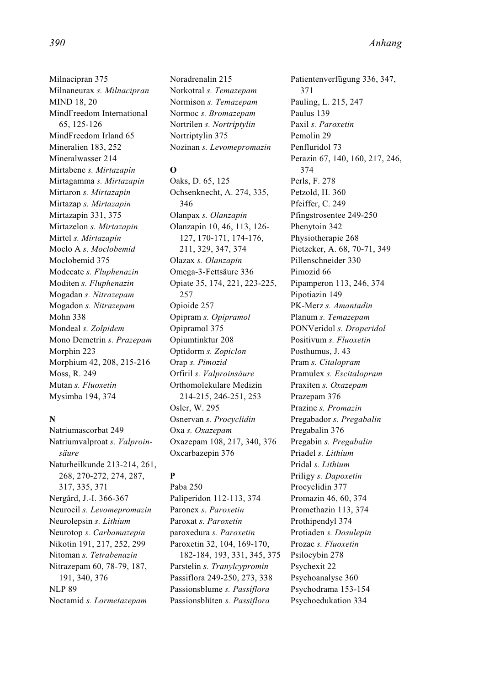Milnacipran 375 Milnaneurax *s. Milnacipran* MIND 18, 20 MindFreedom International 65, 125-126 MindFreedom Irland 65 Mineralien 183, 252 Mineralwasser 214 Mirtabene *s. Mirtazapin* Mirtagamma *s. Mirtazapin* Mirtaron *s. Mirtazapin* Mirtazap *s. Mirtazapin* Mirtazapin 331, 375 Mirtazelon *s. Mirtazapin* Mirtel *s. Mirtazapin* Moclo A *s. Moclobemid* Moclobemid 375 Modecate *s. Fluphenazin* Moditen *s. Fluphenazin* Mogadan *s. Nitrazepam* Mogadon *s. Nitrazepam* Mohn 338 Mondeal *s. Zolpidem* Mono Demetrin *s. Prazepam* Morphin 223 Morphium 42, 208, 215-216 Moss, R. 249 Mutan *s. Fluoxetin* Mysimba 194, 374

# **N**

Natriumascorbat 249 Natriumvalproat *s. Valproinsäure* Naturheilkunde 213-214, 261, 268, 270-272, 274, 287, 317, 335, 371 Nergård, J.-I. 366-367 Neurocil *s. Levomepromazin* Neurolepsin *s. Lithium* Neurotop *s. Carbamazepin* Nikotin 191, 217, 252, 299 Nitoman *s. Tetrabenazin* Nitrazepam 60, 78-79, 187, 191, 340, 376 NLP 89 Noctamid *s. Lormetazepam*

Noradrenalin 215 Norkotral *s. Temazepam* Normison *s. Temazepam* Normoc *s. Bromazepam* Nortrilen *s. Nortriptylin* Nortriptylin 375 Nozinan *s. Levomepromazin*

#### **O**

Oaks, D. 65, 125 Ochsenknecht, A. 274, 335, 346 Olanpax *s. Olanzapin* Olanzapin 10, 46, 113, 126- 127, 170-171, 174-176, 211, 329, 347, 374 Olazax *s. Olanzapin* Omega-3-Fettsäure 336 Opiate 35, 174, 221, 223-225, 257 Opioide 257 Opipram *s. Opipramol* Opipramol 375 Opiumtinktur 208 Optidorm *s. Zopiclon* Orap *s. Pimozid* Orfiril *s. Valproinsäure* Orthomolekulare Medizin 214-215, 246-251, 253 Osler, W. 295 Osnervan *s. Procyclidin* Oxa *s. Oxazepam* Oxazepam 108, 217, 340, 376 Oxcarbazepin 376

# **P**

Paba 250 Paliperidon 112-113, 374 Paronex *s. Paroxetin* Paroxat *s. Paroxetin* paroxedura *s. Paroxetin* Paroxetin 32, 104, 169-170, 182-184, 193, 331, 345, 375 Parstelin *s. Tranylcypromin* Passiflora 249-250, 273, 338 Passionsblume *s. Passiflora* Passionsblüten *s. Passiflora*

Patientenverfügung 336, 347, 371 Pauling, L. 215, 247 Paulus 139 Paxil *s. Paroxetin* Pemolin 29 Penfluridol 73 Perazin 67, 140, 160, 217, 246, 374 Perls, F. 278 Petzold, H. 360 Pfeiffer, C. 249 Pfingstrosentee 249-250 Phenytoin 342 Physiotherapie 268 Pietzcker, A. 68, 70-71, 349 Pillenschneider 330 Pimozid 66 Pipamperon 113, 246, 374 Pipotiazin 149 PK-Merz *s. Amantadin* Planum *s. Temazepam* PONVeridol *s. Droperidol* Positivum *s. Fluoxetin* Posthumus, J. 43 Pram *s. Citalopram* Pramulex *s. Escitalopram* Praxiten *s. Oxazepam* Prazepam 376 Prazine *s. Promazin* Pregabador *s. Pregabalin* Pregabalin 376 Pregabin *s. Pregabalin* Priadel *s. Lithium* Pridal *s. Lithium* Priligy *s. Dapoxetin* Procyclidin 377 Promazin 46, 60, 374 Promethazin 113, 374 Prothipendyl 374 Protiaden *s. Dosulepin* Prozac *s. Fluoxetin* Psilocybin 278 Psychexit 22 Psychoanalyse 360 Psychodrama 153-154 Psychoedukation 334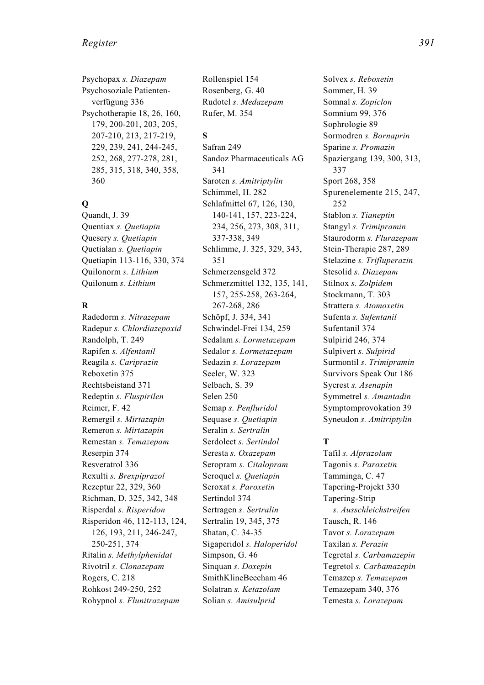Psychopax *s. Diazepam* Psychosoziale Patientenverfügung 336 Psychotherapie 18, 26, 160, 179, 200-201, 203, 205, 207-210, 213, 217-219, 229, 239, 241, 244-245, 252, 268, 277-278, 281, 285, 315, 318, 340, 358, 360

# **Q**

Quandt, J. 39 Quentiax *s. Quetiapin* Quesery *s. Quetiapin* Quetialan *s. Quetiapin* Quetiapin 113-116, 330, 374 Quilonorm *s. Lithium* Quilonum *s. Lithium*

#### **R**

Radedorm *s. Nitrazepam* Radepur *s. Chlordiazepoxid* Randolph, T. 249 Rapifen *s. Alfentanil* Reagila *s. Cariprazin* Reboxetin 375 Rechtsbeistand 371 Redeptin *s. Fluspirilen* Reimer, F. 42 Remergil *s. Mirtazapin* Remeron *s. Mirtazapin* Remestan *s. Temazepam* Reserpin 374 Resveratrol 336 Rexulti *s. Brexpiprazol* Rezeptur 22, 329, 360 Richman, D. 325, 342, 348 Risperdal *s. Risperidon* Risperidon 46, 112-113, 124, 126, 193, 211, 246-247, 250-251, 374 Ritalin *s. Methylphenidat* Rivotril *s. Clonazepam* Rogers, C. 218 Rohkost 249-250, 252 Rohypnol *s. Flunitrazepam*

Rollenspiel 154 Rosenberg, G. 40 Rudotel *s. Medazepam* Rufer, M. 354

# **S**

Safran 249 Sandoz Pharmaceuticals AG 341 Saroten *s. Amitriptylin* Schimmel, H. 282 Schlafmittel 67, 126, 130, 140-141, 157, 223-224, 234, 256, 273, 308, 311, 337-338, 349 Schlimme, J. 325, 329, 343, 351 Schmerzensgeld 372 Schmerzmittel 132, 135, 141, 157, 255-258, 263-264, 267-268, 286 Schöpf, J. 334, 341 Schwindel-Frei 134, 259 Sedalam *s. Lormetazepam* Sedalor *s. Lormetazepam* Sedazin *s. Lorazepam* Seeler, W. 323 Selbach, S. 39 Selen 250 Semap *s. Penfluridol* Sequase *s. Quetiapin* Seralin *s. Sertralin* Serdolect *s. Sertindol* Seresta *s. Oxazepam* Seropram *s. Citalopram* Seroquel *s. Quetiapin* Seroxat *s. Paroxetin* Sertindol 374 Sertragen *s. Sertralin* Sertralin 19, 345, 375 Shatan, C. 34-35 Sigaperidol *s. Haloperidol* Simpson, G. 46 Sinquan *s. Doxepin* SmithKlineBeecham 46 Solatran *s. Ketazolam* Solian *s. Amisulprid*

Solvex *s. Reboxetin* Sommer, H. 39 Somnal *s. Zopiclon* Somnium 99, 376 Sophrologie 89 Sormodren *s. Bornaprin* Sparine *s. Promazin* Spaziergang 139, 300, 313, 337 Sport 268, 358 Spurenelemente 215, 247, 252 Stablon *s. Tianeptin* Stangyl *s. Trimipramin* Staurodorm *s. Flurazepam* Stein-Therapie 287, 289 Stelazine *s. Trifluperazin* Stesolid *s. Diazepam* Stilnox *s. Zolpidem* Stockmann, T. 303 Strattera *s. Atomoxetin* Sufenta *s. Sufentanil* Sufentanil 374 Sulpirid 246, 374 Sulpivert *s. Sulpirid* Surmontil *s. Trimipramin* Survivors Speak Out 186 Sycrest *s. Asenapin* Symmetrel *s. Amantadin* Symptomprovokation 39 Syneudon *s. Amitriptylin*

# **T**

Tafil *s. Alprazolam* Tagonis *s. Paroxetin* Tamminga, C. 47 Tapering-Projekt 330 Tapering-Strip *s. Ausschleichstreifen* Tausch, R. 146 Tavor *s. Lorazepam* Taxilan *s. Perazin* Tegretal *s. Carbamazepin* Tegretol *s. Carbamazepin* Temazep *s. Temazepam* Temazepam 340, 376 Temesta *s. Lorazepam*